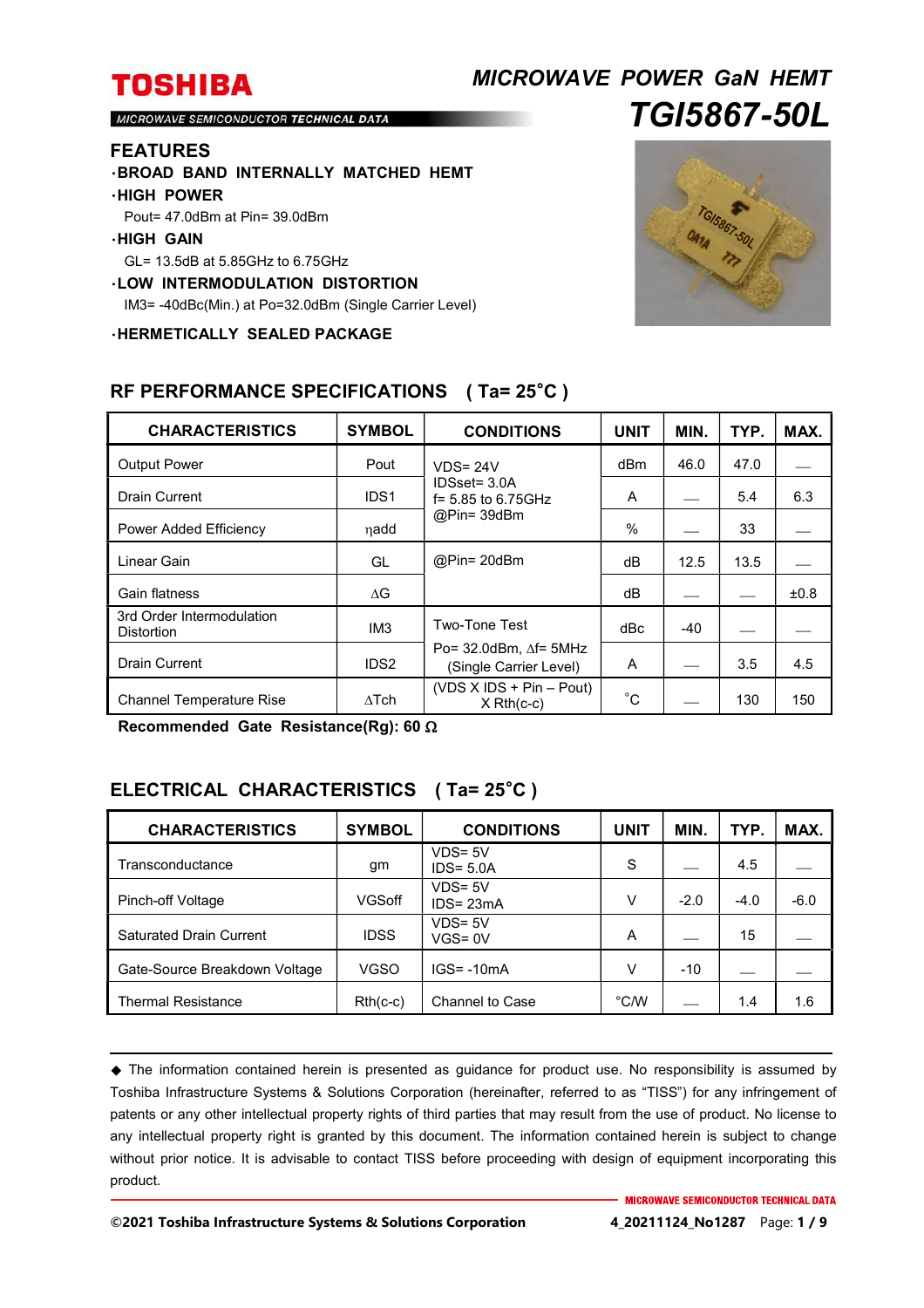## *MICROWAVE POWER GaN HEMT TGI5867-50L*

MICROWAVE SEMICONDUCTOR TECHNICAL DATA

#### **FEATURES**

・**BROAD BAND INTERNALLY MATCHED HEMT**

#### ・**HIGH POWER**

Pout= 47.0dBm at Pin= 39.0dBm

#### ・**HIGH GAIN**

GL= 13.5dB at 5.85GHz to 6.75GHz

#### ・**LOW INTERMODULATION DISTORTION**

IM3= -40dBc(Min.) at Po=32.0dBm (Single Carrier Level)

・**HERMETICALLY SEALED PACKAGE**



| <b>CHARACTERISTICS</b>                         | <b>SYMBOL</b>    | <b>CONDITIONS</b>                                              | <b>UNIT</b> | MIN.  | TYP. | MAX. |
|------------------------------------------------|------------------|----------------------------------------------------------------|-------------|-------|------|------|
| <b>Output Power</b>                            | Pout             | $VDS = 24V$                                                    | dBm         | 46.0  | 47.0 |      |
| <b>Drain Current</b>                           | IDS <sub>1</sub> | IDSset= 3.0A<br>$f = 5.85$ to 6.75 GHz<br>@Pin= 39dBm          | A           |       | 5.4  | 6.3  |
| Power Added Efficiency                         | nadd             |                                                                | $\%$        |       | 33   |      |
| Linear Gain                                    | GL               | @Pin= 20dBm                                                    | dВ          | 12.5  | 13.5 |      |
| Gain flatness                                  | ΔG               |                                                                | dB          |       |      | ±0.8 |
| 3rd Order Intermodulation<br><b>Distortion</b> | IM <sub>3</sub>  | <b>Two-Tone Test</b>                                           | dBc         | $-40$ |      |      |
| <b>Drain Current</b>                           | IDS <sub>2</sub> | Po= $32.0$ dBm, $\Delta f$ = $5$ MHz<br>(Single Carrier Level) | A           |       | 3.5  | 4.5  |
| <b>Channel Temperature Rise</b>                | $\Delta$ Tch     | (VDS $X$ IDS + Pin – Pout)<br>$X$ Rth(c-c)                     | $^{\circ}C$ |       | 130  | 150  |

### **RF PERFORMANCE SPECIFICATIONS ( Ta= 25**°**C )**

**Recommended Gate Resistance(Rg): 60** 

### **ELECTRICAL CHARACTERISTICS ( Ta= 25**°**C )**

| <b>CHARACTERISTICS</b>         | <b>SYMBOL</b> | <b>CONDITIONS</b>          | <b>UNIT</b>   | MIN.   | TYP.   | MAX.   |
|--------------------------------|---------------|----------------------------|---------------|--------|--------|--------|
| Transconductance               | gm            | $VDS = 5V$<br>$IDS = 5.0A$ | S             |        | 4.5    |        |
| Pinch-off Voltage              | VGSoff        | $VDS = 5V$<br>$IDS = 23mA$ | v             | $-2.0$ | $-4.0$ | $-6.0$ |
| <b>Saturated Drain Current</b> | <b>IDSS</b>   | $VDS = 5V$<br>$VGS = 0V$   | A             |        | 15     |        |
| Gate-Source Breakdown Voltage  | VGSO          | $IGS = -10mA$              | v             | $-10$  |        |        |
| <b>Thermal Resistance</b>      | $Rth(c-c)$    | <b>Channel to Case</b>     | $\degree$ C/W |        | 1.4    | 1.6    |

 The information contained herein is presented as guidance for product use. No responsibility is assumed by Toshiba Infrastructure Systems & Solutions Corporation (hereinafter, referred to as "TISS") for any infringement of patents or any other intellectual property rights of third parties that may result from the use of product. No license to any intellectual property right is granted by this document. The information contained herein is subject to change without prior notice. It is advisable to contact TISS before proceeding with design of equipment incorporating this product.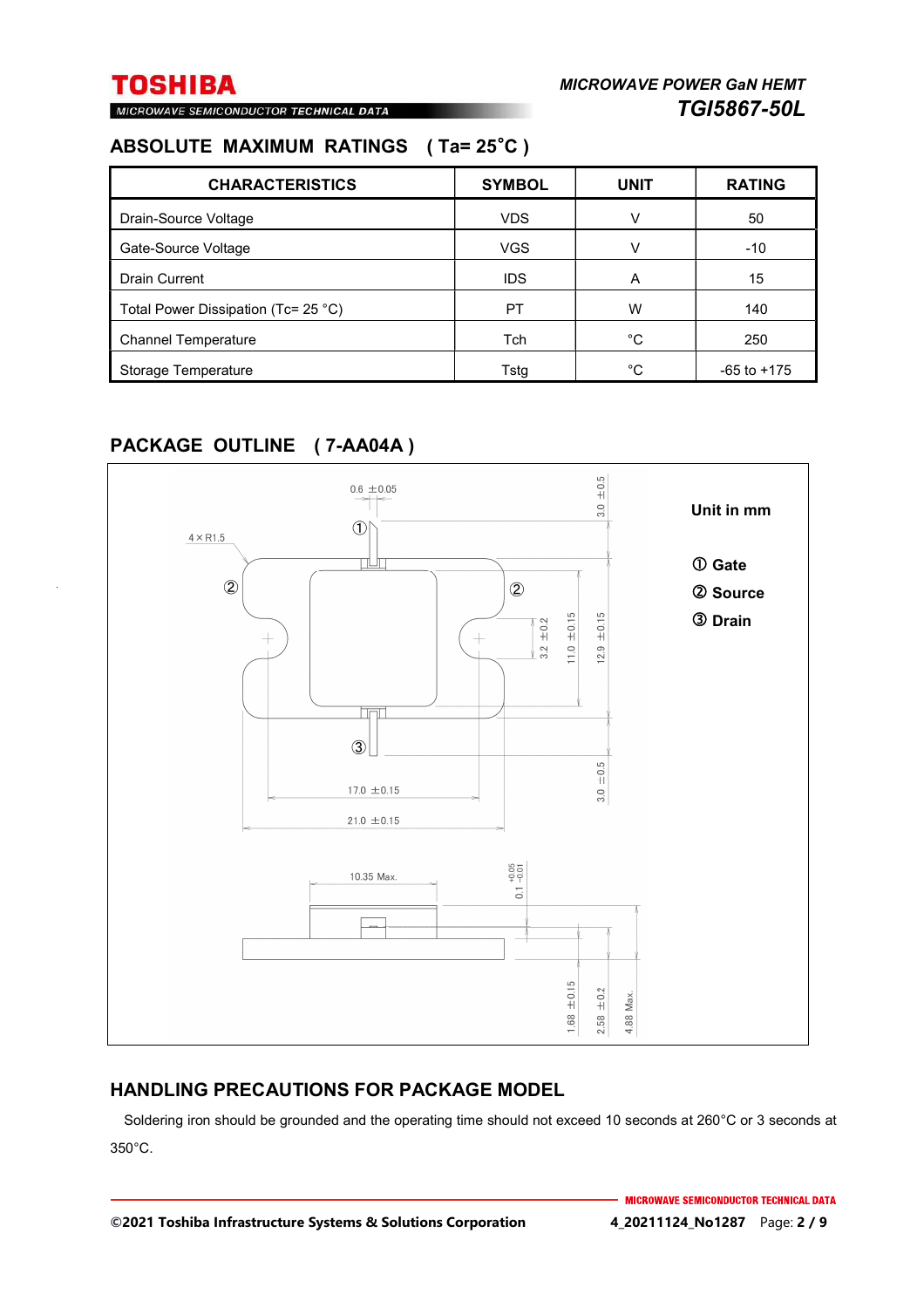MICROWAVE SEMICONDUCTOR TECHNICAL DATA

### **ABSOLUTE MAXIMUM RATINGS ( Ta= 25**°**C )**

| <b>CHARACTERISTICS</b>                        | <b>SYMBOL</b> | <b>UNIT</b> | <b>RATING</b>   |
|-----------------------------------------------|---------------|-------------|-----------------|
| Drain-Source Voltage                          | <b>VDS</b>    | v           | 50              |
| Gate-Source Voltage                           | <b>VGS</b>    | V           | $-10$           |
| <b>Drain Current</b>                          | <b>IDS</b>    | A           | 15              |
| Total Power Dissipation (Tc= 25 $^{\circ}$ C) | PT            | W           | 140             |
| <b>Channel Temperature</b>                    | <b>Tch</b>    | °C          | 250             |
| Storage Temperature                           | Tstg          | °C          | $-65$ to $+175$ |

### **PACKAGE OUTLINE ( 7-AA04A )**



### **HANDLING PRECAUTIONS FOR PACKAGE MODEL**

Soldering iron should be grounded and the operating time should not exceed 10 seconds at 260°C or 3 seconds at 350°C.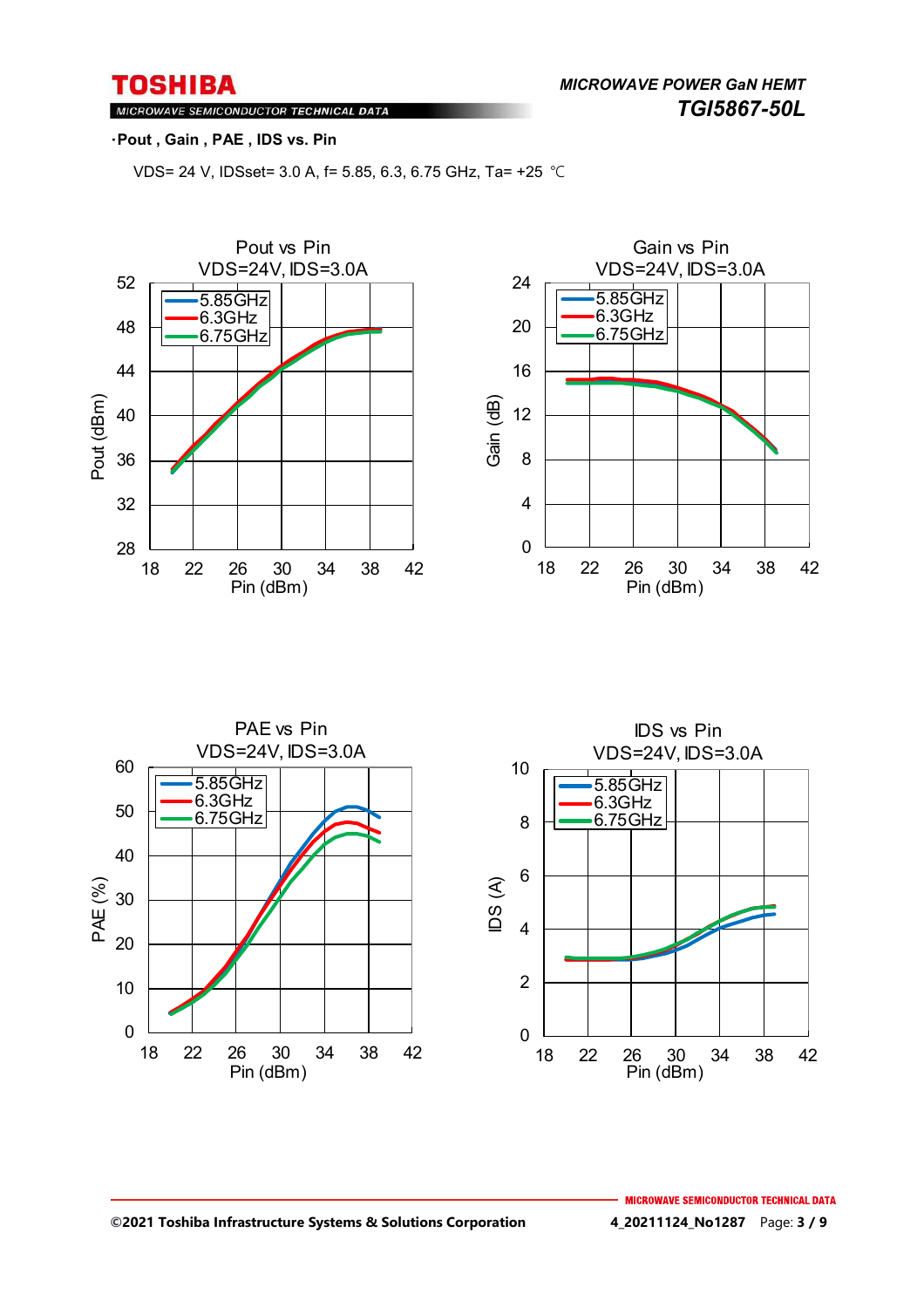*MICROWAVE POWER GaN HEMT TGI5867-50L* 

### MICROWAVE SEMICONDUCTOR TECHNICAL DATA

#### ・**Pout , Gain , PAE , IDS vs. Pin**

VDS= 24 V, IDSset= 3.0 A, f= 5.85, 6.3, 6.75 GHz, Ta= +25 ℃







#### **©2021 Toshiba Infrastructure Systems & Solutions Corporation 4\_20211124\_No1287** Page: **3 / 9**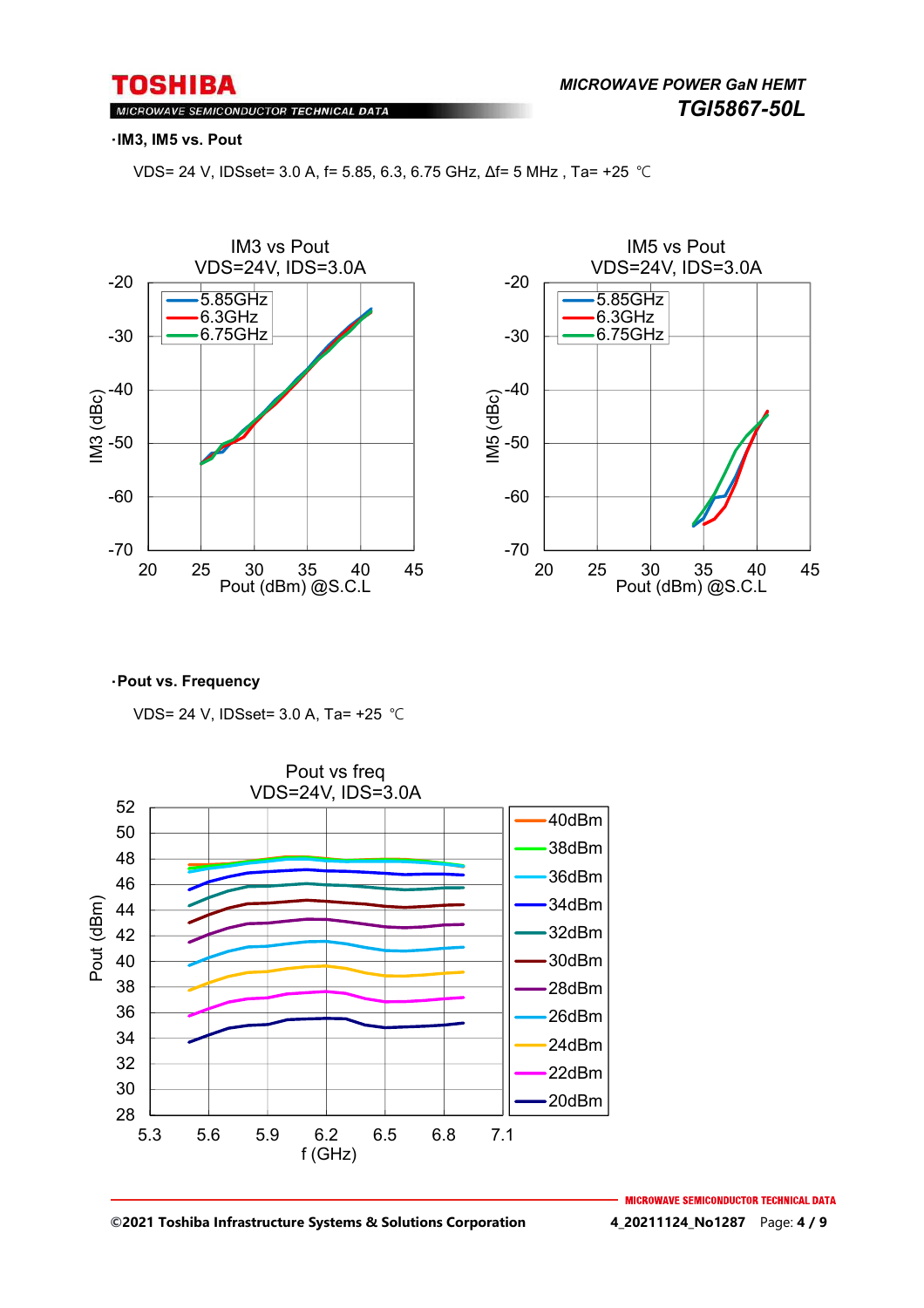MICROWAVE SEMICONDUCTOR TECHNICAL DATA

#### ・**IM3, IM5 vs. Pout**

VDS= 24 V, IDSset= 3.0 A, f= 5.85, 6.3, 6.75 GHz, Δf= 5 MHz , Ta= +25 ℃





#### ・**Pout vs. Frequency**

VDS= 24 V, IDSset= 3.0 A, Ta= +25 ℃



**MICROWAVE SEMICONDUCTOR TECHNICAL DATA**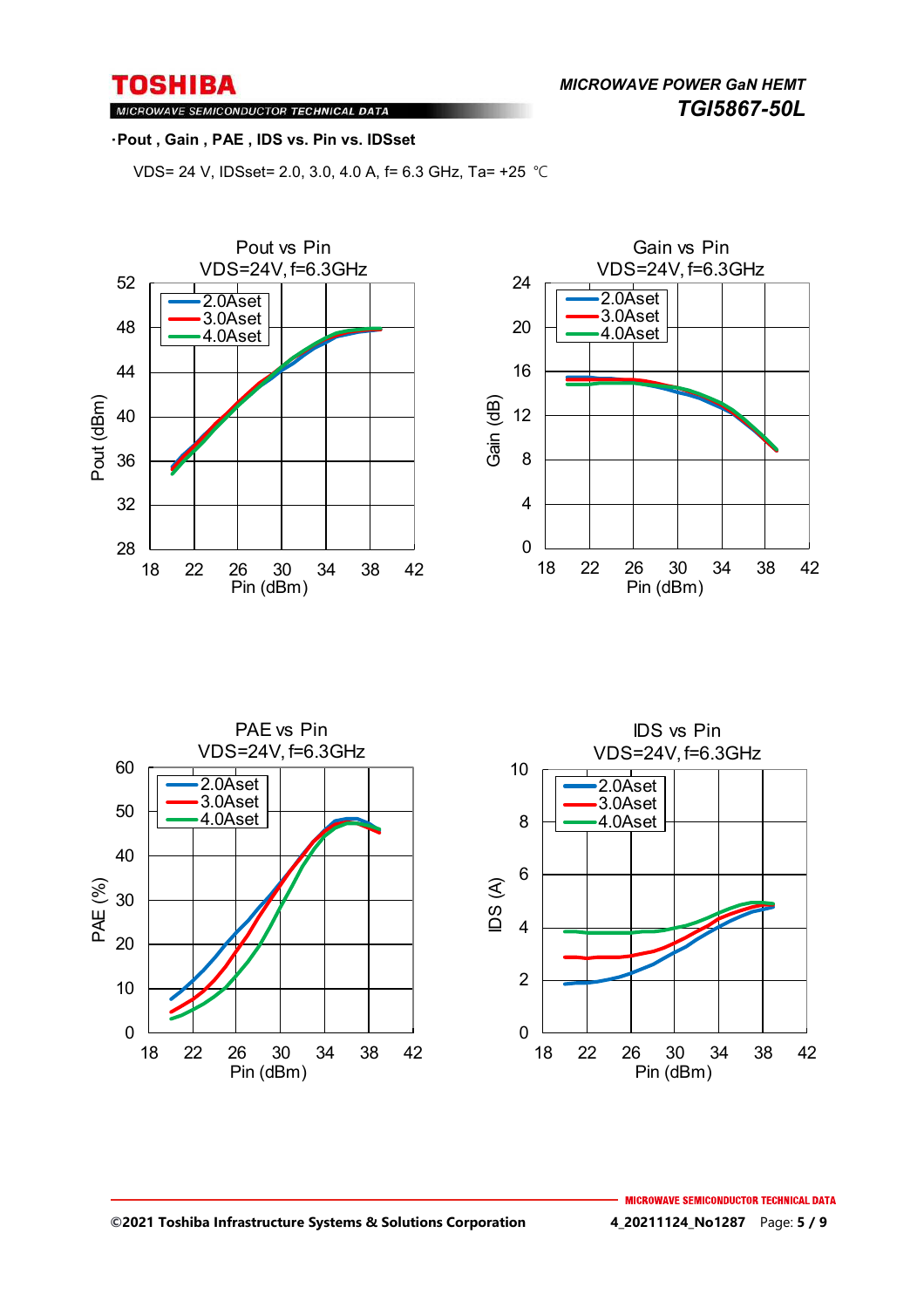*MICROWAVE POWER GaN HEMT TGI5867-50L* 

MICROWAVE SEMICONDUCTOR TECHNICAL DATA

#### ・**Pout , Gain , PAE , IDS vs. Pin vs. IDSset**

VDS= 24 V, IDSset= 2.0, 3.0, 4.0 A, f= 6.3 GHz, Ta= +25 ℃







#### **©2021 Toshiba Infrastructure Systems & Solutions Corporation 4\_20211124\_No1287** Page: **5 / 9**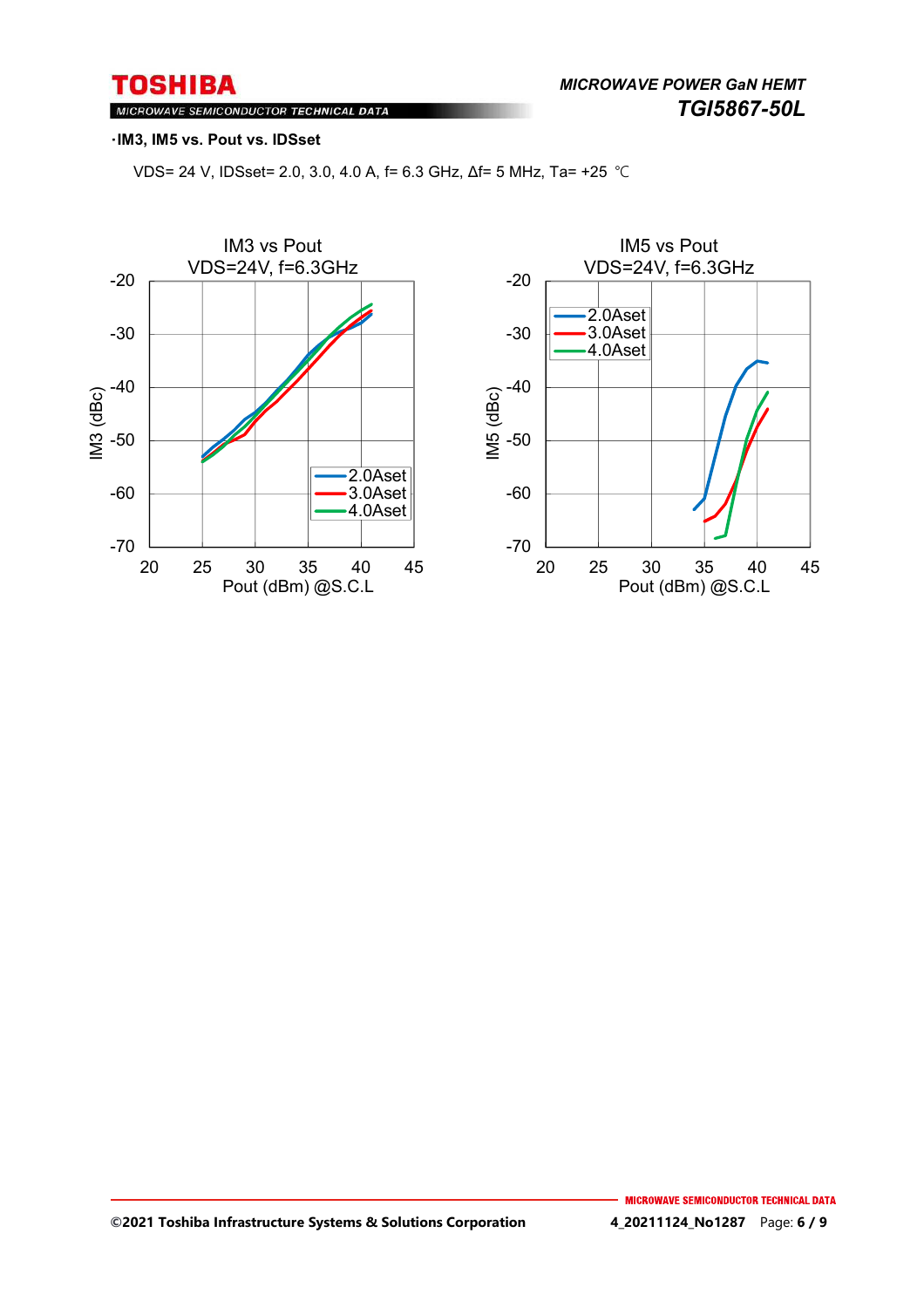MICROWAVE SEMICONDUCTOR TECHNICAL DATA

#### ・**IM3, IM5 vs. Pout vs. IDSset**

VDS= 24 V, IDSset= 2.0, 3.0, 4.0 A, f= 6.3 GHz, Δf= 5 MHz, Ta= +25 ℃



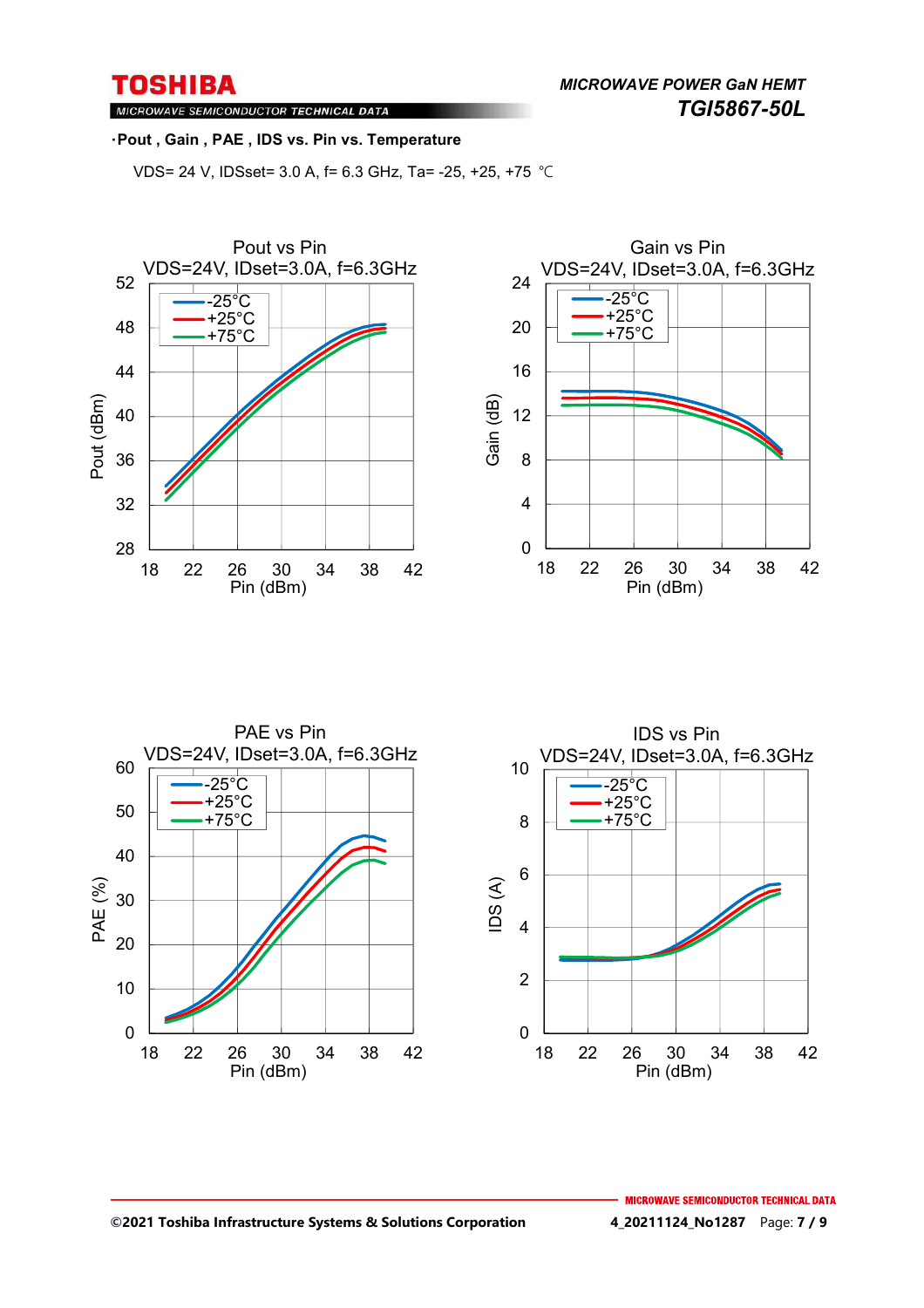*MICROWAVE POWER GaN HEMT TGI5867-50L* 

MICROWAVE SEMICONDUCTOR TECHNICAL DATA

#### ・**Pout , Gain , PAE , IDS vs. Pin vs. Temperature**

VDS= 24 V, IDSset= 3.0 A, f= 6.3 GHz, Ta= -25, +25, +75 ℃





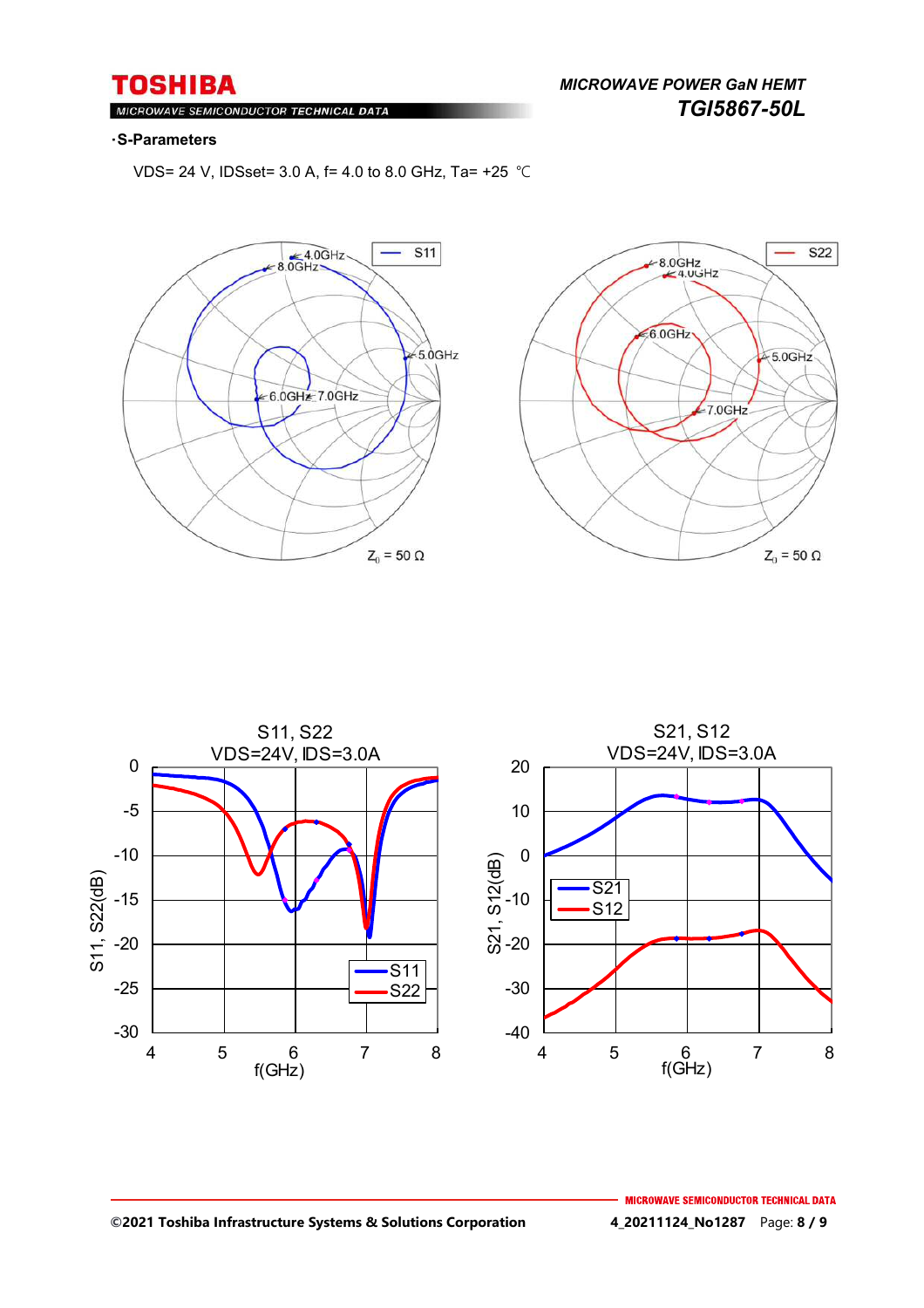*MICROWAVE POWER GaN HEMT TGI5867-50L* 

#### MIC ROWAVE SEMICONDUCTOR TECHNICAL DATA

#### ・**S-Parameters**

VDS= 24 V, IDSset= 3.0 A, f= 4.0 to 8.0 GHz, Ta= +25 ℃